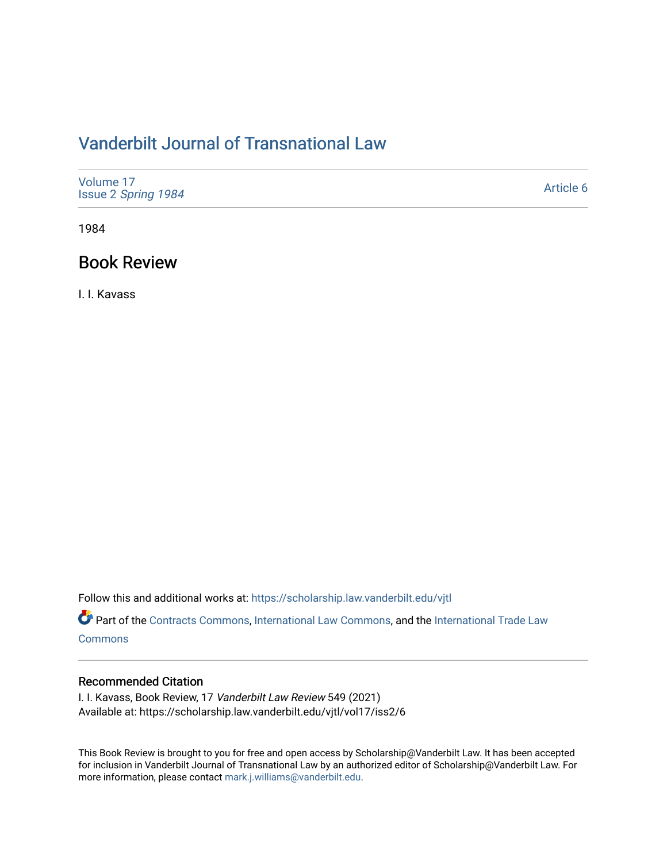## [Vanderbilt Journal of Transnational Law](https://scholarship.law.vanderbilt.edu/vjtl)

| Volume 17<br>Issue 2 Spring 1984 | Article 6 |
|----------------------------------|-----------|
|----------------------------------|-----------|

1984

### Book Review

I. I. Kavass

Follow this and additional works at: [https://scholarship.law.vanderbilt.edu/vjtl](https://scholarship.law.vanderbilt.edu/vjtl?utm_source=scholarship.law.vanderbilt.edu%2Fvjtl%2Fvol17%2Fiss2%2F6&utm_medium=PDF&utm_campaign=PDFCoverPages) 

Part of the [Contracts Commons](http://network.bepress.com/hgg/discipline/591?utm_source=scholarship.law.vanderbilt.edu%2Fvjtl%2Fvol17%2Fiss2%2F6&utm_medium=PDF&utm_campaign=PDFCoverPages), [International Law Commons,](http://network.bepress.com/hgg/discipline/609?utm_source=scholarship.law.vanderbilt.edu%2Fvjtl%2Fvol17%2Fiss2%2F6&utm_medium=PDF&utm_campaign=PDFCoverPages) and the [International Trade Law](http://network.bepress.com/hgg/discipline/848?utm_source=scholarship.law.vanderbilt.edu%2Fvjtl%2Fvol17%2Fiss2%2F6&utm_medium=PDF&utm_campaign=PDFCoverPages) **[Commons](http://network.bepress.com/hgg/discipline/848?utm_source=scholarship.law.vanderbilt.edu%2Fvjtl%2Fvol17%2Fiss2%2F6&utm_medium=PDF&utm_campaign=PDFCoverPages)** 

### Recommended Citation

I. I. Kavass, Book Review, 17 Vanderbilt Law Review 549 (2021) Available at: https://scholarship.law.vanderbilt.edu/vjtl/vol17/iss2/6

This Book Review is brought to you for free and open access by Scholarship@Vanderbilt Law. It has been accepted for inclusion in Vanderbilt Journal of Transnational Law by an authorized editor of Scholarship@Vanderbilt Law. For more information, please contact [mark.j.williams@vanderbilt.edu](mailto:mark.j.williams@vanderbilt.edu).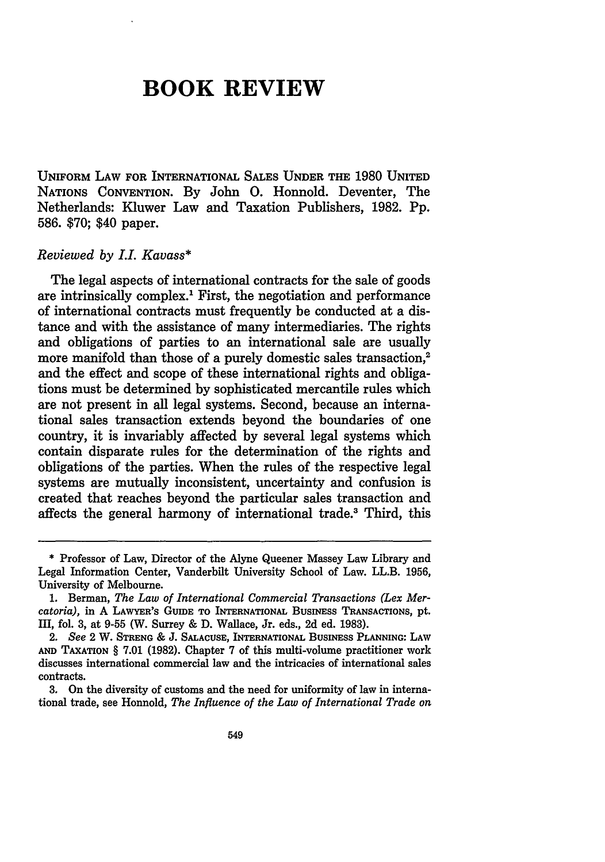# **BOOK REVIEW**

UNIFORM LAW FOR INTERNATIONAL **SALES UNDER** THE **1980 UNITED NATIONS CONVENTION. By** John **0.** Honnold. Deventer, The Netherlands: Kluwer Law and Taxation Publishers, **1982. Pp. 586. \$70;** \$40 paper.

#### *Reviewed by LL Kavass\**

The legal aspects of international contracts for the sale of goods are intrinsically complex.1 First, the negotiation and performance of international contracts must frequently be conducted at a distance and with the assistance of many intermediaries. The rights and obligations of parties to an international sale are usually more manifold than those of a purely domestic sales transaction,<sup>2</sup> and the effect and scope of these international rights and obligations must be determined **by** sophisticated mercantile rules which are not present in all legal systems. Second, because an international sales transaction extends beyond the boundaries of one country, it is invariably affected **by** several legal systems which contain disparate rules for the determination of the rights and obligations of the parties. When the rules of the respective legal systems are mutually inconsistent, uncertainty and confusion is created that reaches beyond the particular sales transaction and affects the general harmony of international trade.' Third, this

**<sup>\*</sup>** Professor of Law, Director of the Alyne Queener Massey Law Library and Legal Information Center, Vanderbilt University School of Law. LL.B. **1956,** University of Melbourne.

**<sup>1.</sup>** Berman, *The Law of International Commercial Transactions (Lex Mercatoria),* in **A** LAWYER'S **GUIDE** TO INTERNATIONAL BusNEss **TRANSACTIONS,** pt. **III,** fol. **3,** at **9-55** (W. Surrey **& D.** Wallace, Jr. eds., **2d** ed. **1983).**

<sup>2.</sup> *See* 2 W. **STRENG** & **J. SALACUSE, INTERNATIONAL** BusiNEss **PLANNING:** LAW **AND** TAXATION § **7.01 (1982).** Chapter **7** of this multi-volume practitioner work discusses international commercial law and the intricacies of international sales contracts.

**<sup>3.</sup>** On the diversity of customs and the need for uniformity of law in international trade, see Honnold, *The Influence of the Law of International Trade on*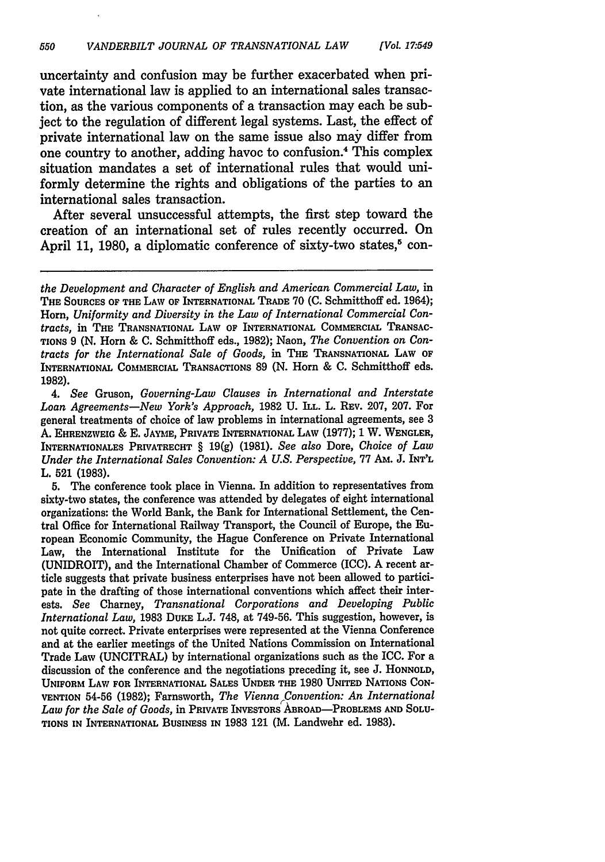uncertainty and confusion may be further exacerbated when private international law is applied to an international sales transaction, as the various components of a transaction may each be subject to the regulation of different legal systems. Last, the effect of private international law on the same issue also may differ from one country to another, adding havoc to confusion.4 This complex situation mandates a set of international rules that would uniformly determine the rights and obligations of the parties to an international sales transaction.

After several unsuccessful attempts, the first step toward the creation of an international set of rules recently occurred. On April 11, 1980, a diplomatic conference of sixty-two states,<sup>5</sup> con-

*4. See* Gruson, *Governing-Law Clauses in International and Interstate Loan Agreements-New York's Approach,* **1982 U. ILL.** L. **REV. 207, 207.** For general treatments of choice of law problems in international agreements, see **3 A. EHRENZWEIG** & **E. JAYME, PRIVATE INTERNATIONAL LAW (1977); 1** W. WENGLER, **INTERNATIONALES** PRIVATRECHT § **19(g) (1981).** *See also* Dore, *Choice of Law Under the International Sales Convention: A U.S. Perspective, 77 Am. J. INT'L* L. 521 **(1983).**

**5.** The conference took place in Vienna. In addition to representatives from sixty-two states, the conference was attended **by** delegates of eight international organizations: the World Bank, the Bank for International Settlement, the Central Office for International Railway Transport, the Council of Europe, the European Economic Community, the Hague Conference on Private International Law, the International Institute for the Unification of Private Law (UNIDROIT), and the International Chamber of Commerce (ICC). **A** recent article suggests that private business enterprises have not been allowed to participate in the drafting of those international conventions which affect their interests. *See* Charney, *Transnational Corporations and Developing Public International Law,* **1983** DuKE L.J. **748,** at **749-56.** This suggestion, however, is not quite correct. Private enterprises were represented at the Vienna Conference and at the earlier meetings of the United Nations Commission on International Trade Law (UNCITRAL) **by** international organizations such as the ICC. For a discussion of the conference and the negotiations preceding it, see **J. HONNOLD,** UNIFORM LAW FOR INTERNATIONAL SALES **UNDER THE 1980** UNITED NATIONS **CON-**VENTION **54-56 (1982);** Farnsworth, *The Vienna Convention: An International* Law for the Sale of Goods, in PRIVATE INVESTORS ABROAD-PROBLEMS AND SOLU-TIONS **IN** INTERNATIONAL BUSINESS IN 1983 121 (M. Landwehr ed. 1983).

*the Development and Character of English and American Commercial Law,* in THE **SOURCES OF THE** LAW OF INTERNATIONAL TRADE 70 **(C.** Schmitthoff ed. 1964); Horn, *Uniformity and Diversity in the Law of International Commercial Contracts,* in **THE TRANSNATIONAL** LAW OF **INTERNATIONAL COMMERCIAL TRANSAC-TIONS 9 (N.** Horn & **C.** Schmitthoff eds., **1982);** Naon, *The Convention on Contracts for the International Sale of Goods,* in **THE TRANSNATIONAL LAW OF INTERNATIONAL** COMMERCIAL TRANSACTIONS **89 (N.** Horn & **C.** Schmitthoff eds. **1982).**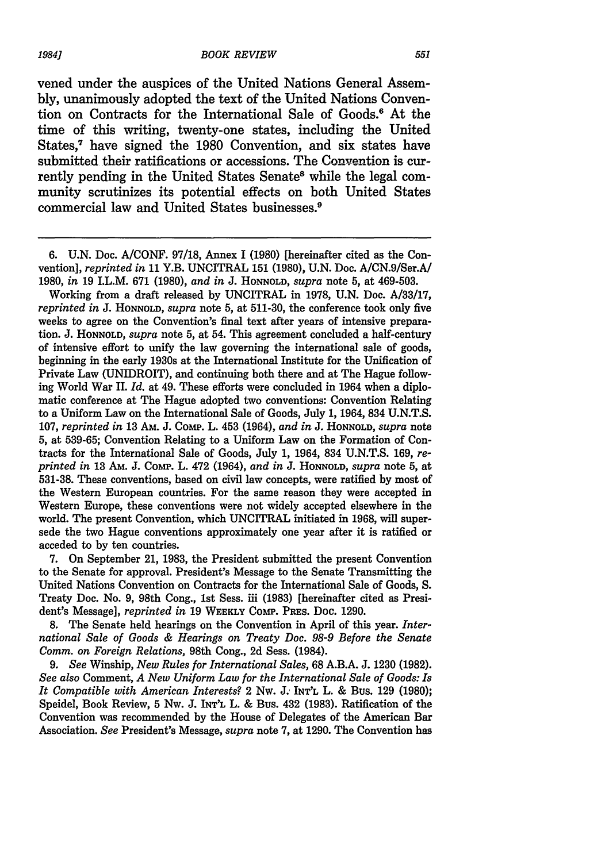vened under the auspices of the United Nations General Assembly, unanimously adopted the text of the United Nations Convention on Contracts for the International Sale of Goods.6 At the time of this writing, twenty-one states, including the United States,<sup>7</sup> have signed the 1980 Convention, and six states have submitted their ratifications or accessions. The Convention is currently pending in the United States Senate<sup>8</sup> while the legal community scrutinizes its potential effects on both United States commercial law and United States businesses."

Working from a draft released by UNCITRAL in 1978, U.N. Doc. A/33/17, *reprinted in* J. **HONNOLD,** *supra* note 5, at 511-30, the conference took only five weeks to agree on the Convention's final text after years of intensive preparation. **J. HONNOLD,** *supra* note 5, at 54. This agreement concluded a half-century of intensive effort to unify the law governing the international sale of goods, beginning in the early 1930s at the International Institute for the Unification of Private Law (UNIDROIT), and continuing both there and at The Hague following World War II. *Id.* at 49. These efforts were concluded in 1964 when a diplomatic conference at The Hague adopted two conventions: Convention Relating to a Uniform Law on the International Sale of Goods, July 1, 1964, 834 U.N.T.S. 107, *reprinted in* 13 AM. J. Comp. L. 453 (1964), *and in* J. **HONNOLD,** *supra* note 5, at 539-65; Convention Relating to a Uniform Law on the Formation of Contracts for the International Sale of Goods, July 1, 1964, 834 U.N.T.S. 169, *reprinted in* 13 AM. J. Comp. L. 472 (1964), *and in* J. **HONNOLD,** *supra* note 5, at 531-38. These conventions, based on civil law concepts, were ratified by most of the Western European countries. For the same reason they were accepted in Western Europe, these conventions were not widely accepted elsewhere in the world. The present Convention, which UNCITRAL initiated in 1968, will supersede the two Hague conventions approximately one year after it is ratified or acceded to by ten countries.

7. On September 21, 1983, the President submitted the present Convention to the Senate for approval. President's Message to the Senate Transmitting the United Nations Convention on Contracts for the International Sale of Goods, S. Treaty Doc. No. 9, 98th Cong., 1st Sess. iii (1983) [hereinafter cited as President's Message], *reprinted in* 19 **WEEKLY** COM. **PREs.** Doc. 1290.

**8.** The Senate held hearings on the Convention in April of this year. *International Sale of Goods & Hearings on Treaty Doc. 98-9 Before the Senate Comm. on Foreign Relations,* 98th Cong., 2d Sess. (1984).

*9. See* Winship, *New Rules for International Sales,* 68 A.B.A. J. 1230 (1982). *See also* Comment, *A New Uniform Law for the International Sale of Goods: Is It Compatible with American Interests?* 2 Nw. **J. INT'L** L. & Bus. 129 (1980); Speidel, Book Review, 5 Nw. J. **INT'L** L. & Bus. 432 (1983). Ratification of the Convention was recommended by the House of Delegates of the American Bar Association. *See* President's Message, *supra* note 7, at 1290. The Convention has

**<sup>6.</sup> U.N.** Doc. **A/CONF. 97/18,** Annex **I (1980)** [hereinafter cited as the Convention], *reprinted in* 11 Y.B. UNCITRAL **151** (1980), U.N. Doc. A/CN.9/Ser.A/ 1980, *in* 19 I.L.M. 671 (1980), *and in* J. **HONNOLD,** *supra* note 5, at 469-503.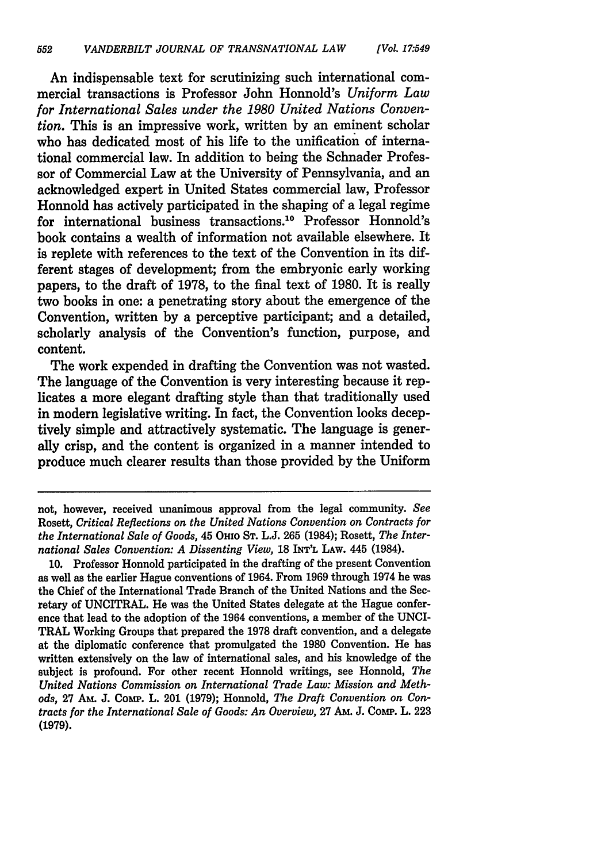An indispensable text for scrutinizing such international commercial transactions is Professor John Honnold's *Uniform Law for International Sales under the 1980 United Nations Convention.* This is an impressive work, written by an eminent scholar who has dedicated most of his life to the unification of international commercial law. In addition to being the Schnader Professor of Commercial Law at the University of Pennsylvania, and an acknowledged expert in United States commercial law, Professor Honnold has actively participated in the shaping of a legal regime for international business transactions.<sup>10</sup> Professor Honnold's book contains a wealth of information not available elsewhere. It is replete with references to the text of the Convention in its different stages of development; from the embryonic early working papers, to the draft of 1978, to the final text of 1980. It is really two books in one: a penetrating story about the emergence of the Convention, written by a perceptive participant; and a detailed, scholarly analysis of the Convention's function, purpose, and content.

The work expended in drafting the Convention was not wasted. The language of the Convention is very interesting because it replicates a more elegant drafting style than that traditionally used in modern legislative writing. In fact, the Convention looks deceptively simple and attractively systematic. The language is generally crisp, and the content is organized in a manner intended to produce much clearer results than those provided by the Uniform

not, however, received unanimous approval from the legal community. *See* Rosett, *Critical Reflections on the United Nations Convention on Contracts for the International Sale of Goods,* 45 OHIo **ST.** L.J. 265 (1984); Rosett, *The International Sales Convention: A Dissenting View,* 18 **INT'L** LAW. 445 (1984).

**<sup>10.</sup>** Professor Honnold participated in the drafting of the present Convention as well as the earlier Hague conventions of 1964. From 1969 through 1974 he was the Chief of the International Trade Branch of the United Nations and the Secretary of UNCITRAL. He was the United States delegate at the Hague conference that lead to the adoption of the 1964 conventions, a member of the UNCI-TRAL Working Groups that prepared the 1978 draft convention, and a delegate at the diplomatic conference that promulgated the 1980 Convention. He has written extensively on the law of international sales, and his knowledge of the subject is profound. For other recent Honnold writings, see Honnold, *The United Nations Commission on International Trade Law: Mission and Methods,* 27 AM. J. ComP. L. 201 (1979); Honnold, *The Draft Convention on Contracts for the International Sale of Goods: An Overview,* 27 **Am.** J. Comp. L. **<sup>223</sup> (1979).**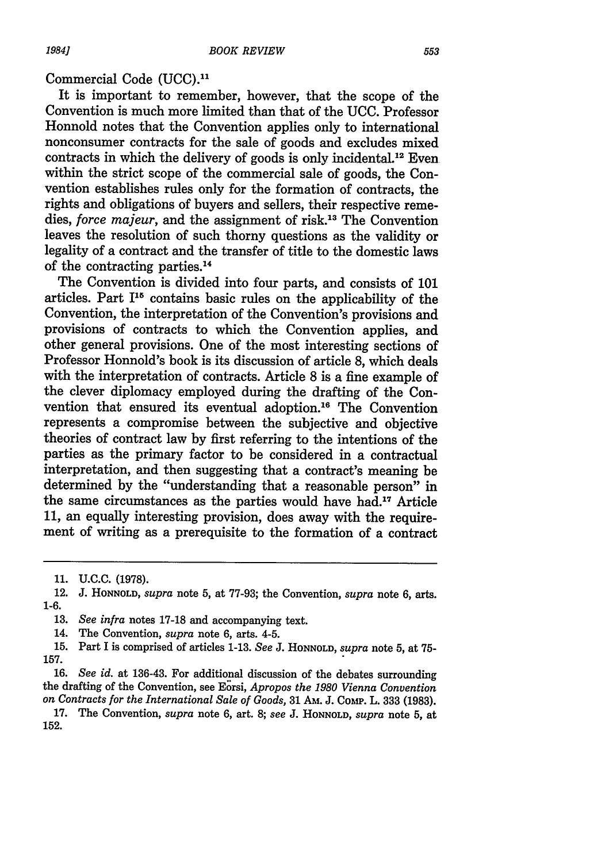#### Commercial Code (UCC).<sup>11</sup>

It is important to remember, however, that the scope of the Convention is much more limited than that of the UCC. Professor Honnold notes that the Convention applies only to international nonconsumer contracts for the sale of goods and excludes mixed contracts in which the delivery of goods is only incidental '2 Even within the strict scope of the commercial sale of goods, the Convention establishes rules only for the formation of contracts, the rights and obligations of buyers and sellers, their respective remedies, *force majeur*, and the assignment of risk.<sup>13</sup> The Convention leaves the resolution of such thorny questions as the validity or legality of a contract and the transfer of title to the domestic laws of the contracting parties.<sup>14</sup>

The Convention is divided into four parts, and consists of **101** articles. Part 115 contains basic rules on the applicability of the Convention, the interpretation of the Convention's provisions and provisions of contracts to which the Convention applies, and other general provisions. One of the most interesting sections of Professor Honnold's book is its discussion of article **8,** which deals with the interpretation of contracts. Article **8** is a fine example of the clever diplomacy employed during the drafting of the Convention that ensured its eventual adoption."6 The Convention represents a compromise between the subjective and objective theories of contract law **by** first referring to the intentions of the parties as the primary factor to be considered in a contractual interpretation, and then suggesting that a contract's meaning be determined by the "understanding that a reasonable person" in the same circumstances as the parties would have had.<sup>17</sup> Article **11,** an equally interesting provision, does away with the requirement of writing as a prerequisite to the formation of a contract

**16.** *See id.* at 136-43. For additional discussion of the debates surrounding the drafting of the Convention, see Eorsi, *Apropos the 1980 Vienna Convention on Contracts for the International Sale of Goods,* 31 Am. J. CohiP. L. 333 (1983).

17. The Convention, *supra* note 6, art. 8; *see* J. **HONNOLD,** *supra* note 5, at 152.

**<sup>11.</sup> U.C.C. (1978).**

**<sup>12.</sup> J. HONNOLD,** *supra* **note 5,** at **77-93;** the Convention, *supra* note **6, arts. 1-6.**

**<sup>13.</sup>** *See infra* notes **17-18** and accompanying text.

<sup>14.</sup> The Convention, *supra* note **6,** arts. 4-5.

**<sup>15.</sup>** Part I is comprised of articles **1-13.** *See* **J. HONNOLD,** *supra* note **5,** at **75- 157.**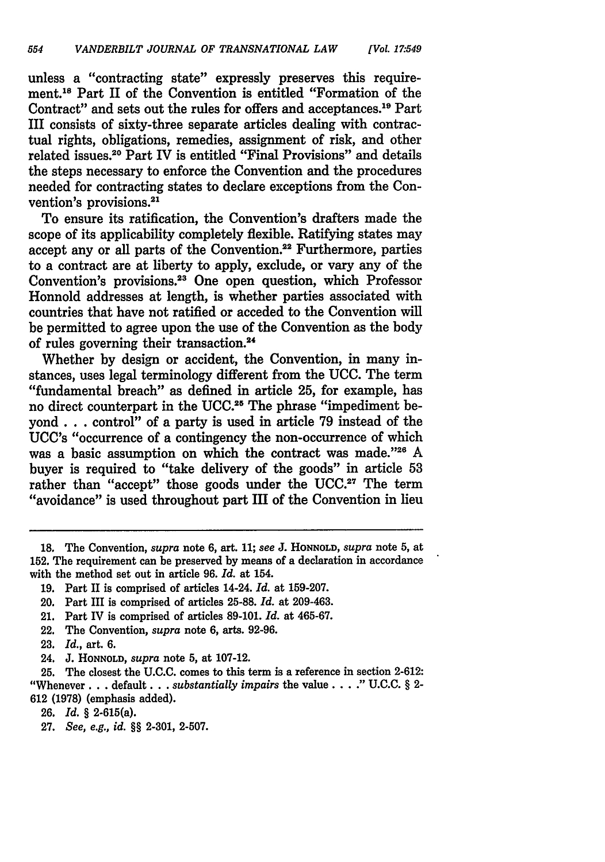unless a "contracting state" expressly preserves this requirement.18 Part II of the Convention is entitled "Formation of the Contract" and sets out the rules for offers and acceptances.<sup>19</sup> Part III consists of sixty-three separate articles dealing with contractual rights, obligations, remedies, assignment of risk, and other related issues.<sup>20</sup> Part IV is entitled "Final Provisions" and details the steps necessary to enforce the Convention and the procedures needed for contracting states to declare exceptions from the Convention's provisions.<sup>21</sup>

To ensure its ratification, the Convention's drafters made the scope of its applicability completely flexible. Ratifying states may accept any or all parts of the Convention.<sup>22</sup> Furthermore, parties to a contract are at liberty to apply, exclude, or vary any of the Convention's provisions.<sup>23</sup> One open question, which Professor Honnold addresses at length, is whether parties associated with countries that have not ratified or acceded to the Convention will be permitted to agree upon the use of the Convention as the body of rules governing their transaction.

Whether by design or accident, the Convention, in many instances, uses legal terminology different from the UCC. The term "fundamental breach" as defined in article 25, for example, has no direct counterpart in the UCC.<sup>25</sup> The phrase "impediment beyond **. . .** control" of a party is used in article 79 instead of the UCC's "occurrence of a contingency the non-occurrence of which was a basic assumption on which the contract was made."26 A buyer is required to "take delivery of the goods" in article 53 rather than "accept" those goods under the UCC.<sup>27</sup> The term "avoidance" is used throughout part III of the Convention in lieu

22. The Convention, *supra* note 6, arts. 92-96.

24. J. **HONNOLD,** *supra* note 5, at 107-12.

**25.** The closest the **U.C.C.** comes to this term is a reference in section **2-612:** "Whenever **...** default **...** *substantially impairs* the value **.....** U.C.C. § 2- 612 (1978) (emphasis added).

- **26.** *Id.* § 2-615(a).
- **27.** *See, e.g., id.* §§ 2-301, 2-507.

**<sup>18.</sup>** The Convention, *supra* **note** 6, art. 11; *see* J. **HONNOLD,** *supra* note 5, at 152. The requirement can be preserved by means of a declaration in accordance with the method set out in article **96.** *Id.* at 154.

<sup>19.</sup> Part II is comprised of articles 14-24. *Id.* at 159-207.

<sup>20.</sup> Part III is comprised of articles 25-88. *Id.* at 209-463.

<sup>21.</sup> Part IV is comprised of articles 89-101. *Id.* **at** 465-67.

<sup>23.</sup> *Id.,* art. 6.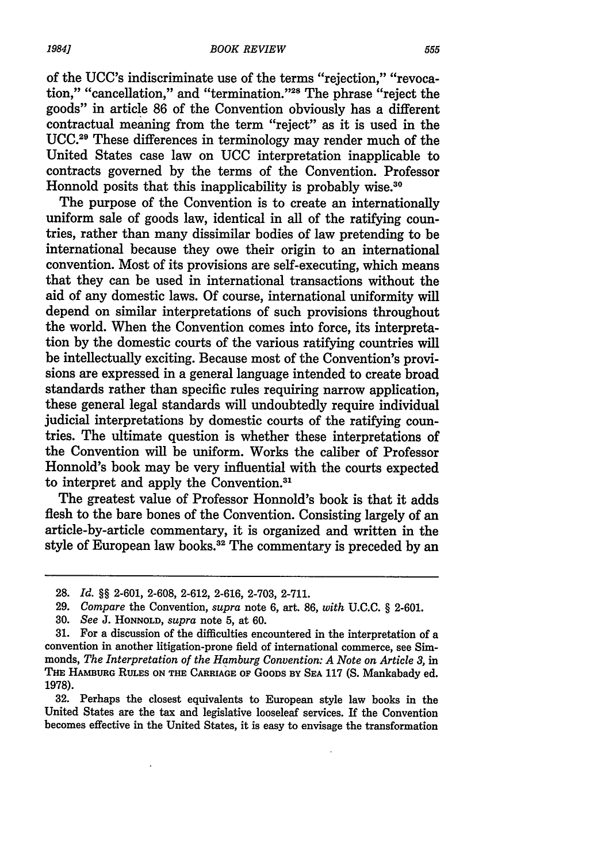of the UCC's indiscriminate use of the terms "rejection," "revocation," "cancellation," and "termination."<sup>28</sup> The phrase "reject the goods" in article **86** of the Convention obviously has a different contractual meaning from the term "reject" as it is used in the UCC. 29 These differences in terminology may render much of the United States case law on UCC interpretation inapplicable to contracts governed **by** the terms of the Convention. Professor Honnold posits that this inapplicability is probably wise.<sup>30</sup>

The purpose of the Convention is to create an internationally uniform sale of goods law, identical in all of the ratifying countries, rather than many dissimilar bodies of law pretending to be international because they owe their origin to an international convention. Most of its provisions are self-executing, which means that they can be used in international transactions without the aid of any domestic laws. **Of** course, international uniformity will depend on similar interpretations of such provisions throughout the world. When the Convention comes into force, its interpretation **by** the domestic courts of the various ratifying countries **will** be intellectually exciting. Because most of the Convention's provisions are expressed in a general language intended to create broad standards rather than specific rules requiring narrow application, these general legal standards will undoubtedly require individual judicial interpretations **by** domestic courts of the ratifying countries. The ultimate question is whether these interpretations of the Convention will be uniform. Works the caliber of Professor Honnold's book may be very influential with the courts expected to interpret and apply the Convention.<sup>31</sup>

The greatest value of Professor Honnold's book is that it adds flesh to the bare bones of the Convention. Consisting largely of an article-by-article commentary, it is organized and written in the style of European law books.32 The commentary is preceded **by** an

32. Perhaps the closest equivalents to European style law books in the United States are the tax and legislative looseleaf services. If the Convention becomes effective in the United States, it is easy to envisage the transformation

**<sup>28.</sup>** *Id.* §§ **2-601, 2-608, 2-612, 2-616, 2-703, 2-711.**

**<sup>29.</sup>** *Compare* the Convention, *supra* note **6,** art. **86,** *with* **U.C.C.** § **2-601.**

**<sup>30.</sup>** *See* **J. HONNOLD,** *supra* note **5,** at **60.**

**<sup>31.</sup>** For a discussion of the difficulties encountered in the interpretation of a convention in another litigation-prone field of international commerce, see Simmonds, *The Interpretation of the Hamburg Convention: A Note on Article 3,* in **THE HAMBURG RULES ON THE CARRIAGE OF** GOODS **BY SEA** 117 (S. Mankabady ed. 1978).